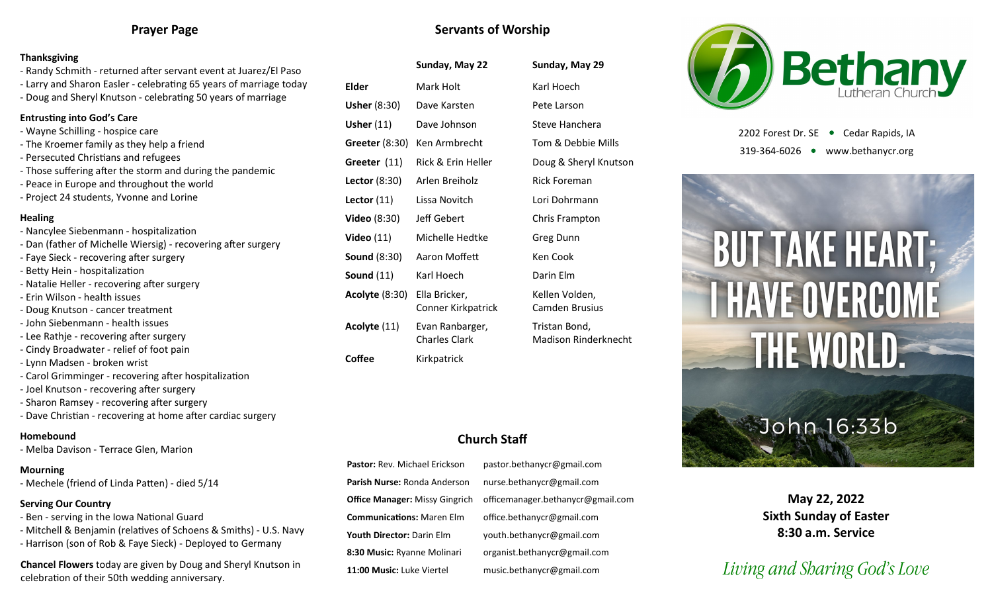### **Prayer Page**

#### **Thanksgiving**

- Randy Schmith returned after servant event at Juarez/El Paso
- Larry and Sharon Easler celebrating 65 years of marriage today
- Doug and Sheryl Knutson celebrating 50 years of marriage

#### **Entrusting into God's Care**

- Wayne Schilling hospice care
- The Kroemer family as they help a friend
- Persecuted Christians and refugees
- Those suffering after the storm and during the pandemic
- Peace in Europe and throughout the world
- Project 24 students, Yvonne and Lorine

#### **Healing**

- Nancylee Siebenmann hospitalization
- Dan (father of Michelle Wiersig) recovering after surgery
- Faye Sieck recovering after surgery
- Betty Hein hospitalization
- Natalie Heller recovering after surgery
- Erin Wilson health issues
- Doug Knutson cancer treatment
- John Siebenmann health issues
- Lee Rathje recovering after surgery
- Cindy Broadwater relief of foot pain
- Lynn Madsen broken wrist
- Carol Grimminger recovering after hospitalization
- Joel Knutson recovering after surgery
- Sharon Ramsey recovering after surgery
- Dave Christian recovering at home after cardiac surgery

#### **Homebound**

- Melba Davison - Terrace Glen, Marion

#### **Mourning**

- Mechele (friend of Linda Patten) - died 5/14

#### **Serving Our Country**

- Ben serving in the Iowa National Guard
- Mitchell & Benjamin (relatives of Schoens & Smiths) U.S. Navy
- Harrison (son of Rob & Faye Sieck) Deployed to Germany

**Chancel Flowers** today are given by Doug and Sheryl Knutson in celebration of their 50th wedding anniversary.

|                     | Sunday, May 22     | Sunday, May 29        |
|---------------------|--------------------|-----------------------|
| Elder               | Mark Holt          | Karl Hoech            |
| <b>Usher (8:30)</b> | Dave Karsten       | Pete Larson           |
| Usher $(11)$        | Dave Johnson       | Steve Hanchera        |
| Greeter $(8:30)$    | Ken Armbrecht      | Tom & Debbie Mills    |
| Greeter (11)        | Rick & Erin Heller | Doug & Sheryl Knutson |
|                     |                    |                       |

**Servants of Worship**

- Lector (11) Lissa Novitch Lori Dohrmann **Video** (8:30) Jeff Gebert Chris Frampton **Video** (11) Michelle Hedtke Greg Dunn **Sound (8:30)** Aaron Moffett Ken Cook **Sound** (11) Karl Hoech Darin Elm **Acolyte** (8:30) Ella Bricker, Conner Kirkpatrick
- **Acolyte** (11) Evan Ranbarger, Charles Clark

**Coffee** Kirkpatrick

**Sunday, May 22 Sunday, May 29 Lector** (8:30) Arlen Breiholz Rick Foreman Kellen Volden, Camden Brusius Tristan Bond, Madison Rinderknecht



2202 Forest Dr. SE ● Cedar Rapids, IA 319-364-6026 www.bethanycr.org



## **Church Staff**

**Pastor:** Rev. Michael Erickson pastor.bethanycr@gmail.com **Parish Nurse:** Ronda Anderson nurse.bethanycr@gmail.com **Office Manager:** Missy Gingrich officemanager.bethanycr@gmail.com **Communications:** Maren Elm office.bethanycr@gmail.com **Youth Director:** Darin Elm youth.bethanycr@gmail.com **8:30 Music:** Ryanne Molinari organist.bethanycr@gmail.com **11:00 Music:** Luke Viertel music.bethanycr@gmail.com

**May 22, 2022 Sixth Sunday of Easter 8:30 a.m. Service**

# *Living and Sharing God's Love*